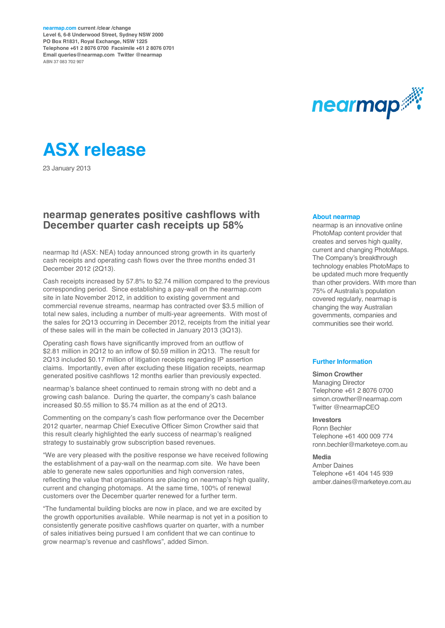**nearmap.com current /clear /change Level 6, 6-8 Underwood Street, Sydney NSW 2000 PO Box R1831, Royal Exchange, NSW 1225 Telephone +61 2 8076 0700 Facsimile +61 2 8076 0701 Email queries@nearmap.com Twitter @nearmap ABN 37 083 702 907**



# **ASX release**

23 January 2013

#### **nearmap generates positive cashflows with December quarter cash receipts up 58%**

nearmap ltd (ASX: NEA) today announced strong growth in its quarterly cash receipts and operating cash flows over the three months ended 31 December 2012 (2Q13).

Cash receipts increased by 57.8% to \$2.74 million compared to the previous corresponding period. Since establishing a pay-wall on the nearmap.com site in late November 2012, in addition to existing government and commercial revenue streams, nearmap has contracted over \$3.5 million of total new sales, including a number of multi-year agreements. With most of the sales for 2Q13 occurring in December 2012, receipts from the initial year of these sales will in the main be collected in January 2013 (3Q13).

Operating cash flows have significantly improved from an outflow of \$2.81 million in 2Q12 to an inflow of \$0.59 million in 2Q13. The result for 2Q13 included \$0.17 million of litigation receipts regarding IP assertion claims. Importantly, even after excluding these litigation receipts, nearmap generated positive cashflows 12 months earlier than previously expected.

nearmap's balance sheet continued to remain strong with no debt and a growing cash balance. During the quarter, the company's cash balance increased \$0.55 million to \$5.74 million as at the end of 2Q13.

Commenting on the company's cash flow performance over the December 2012 quarter, nearmap Chief Executive Officer Simon Crowther said that this result clearly highlighted the early success of nearmap's realigned strategy to sustainably grow subscription based revenues.

"We are very pleased with the positive response we have received following the establishment of a pay-wall on the nearmap.com site. We have been able to generate new sales opportunities and high conversion rates. reflecting the value that organisations are placing on nearmap's high quality, current and changing photomaps. At the same time, 100% of renewal customers over the December quarter renewed for a further term.

"The fundamental building blocks are now in place, and we are excited by the growth opportunities available. While nearmap is not yet in a position to consistently generate positive cashflows quarter on quarter, with a number of sales initiatives being pursued I am confident that we can continue to grow nearmap's revenue and cashflows", added Simon.

#### **About nearmap**

nearmap is an innovative online PhotoMap content provider that creates and serves high quality, current and changing PhotoMaps. The Company's breakthrough technology enables PhotoMaps to be updated much more frequently than other providers. With more than 75% of Australia's population covered regularly, nearmap is changing the way Australian governments, companies and communities see their world.

#### **Further Information**

#### **Simon Crowther**

Managing Director Telephone +61 2 8076 0700 simon.crowther@nearmap.com Twitter @nearmapCEO

#### **Investors**

Ronn Bechler Telephone +61 400 009 774 ronn.bechler@marketeye.com.au

#### **Media**

Amber Daines Telephone +61 404 145 939 amber.daines@marketeye.com.au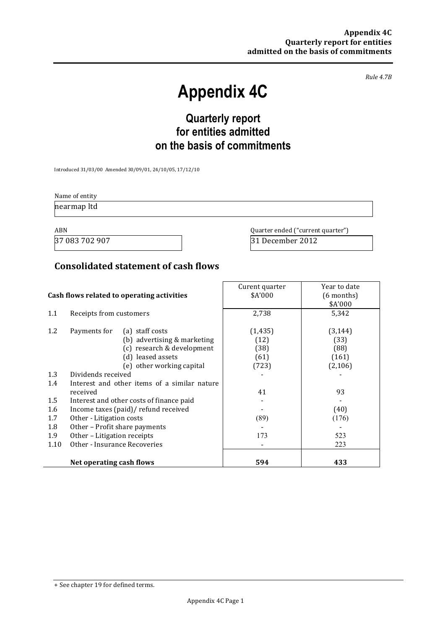*Rule%4.7B*

# **Appendix 4C**

## **Quarterly report for entities admitted on the basis of commitments**

Introduced 31/03/00 Amended 30/09/01, 24/10/05, 17/12/10

Name of entity nearmap ltd

37 083 702 907 31 December 2012

ABN **ABN** Quarter ended ("current quarter")

## **Consolidated statement of cash flows**

|      |                                              | Curent quarter | Year to date |
|------|----------------------------------------------|----------------|--------------|
|      | Cash flows related to operating activities   | \$A'000        | (6 months)   |
|      |                                              |                | \$A'000      |
| 1.1  | Receipts from customers                      | 2,738          | 5,342        |
|      |                                              |                |              |
| 1.2  | Payments for<br>(a) staff costs              | (1, 435)       | (3, 144)     |
|      | (b) advertising & marketing                  | (12)           | (33)         |
|      | (c) research & development                   | (38)           | (88)         |
|      | (d) leased assets                            | (61)           | (161)        |
|      | (e) other working capital                    | (723)          | (2,106)      |
| 1.3  | Dividends received                           |                |              |
| 1.4  | Interest and other items of a similar nature |                |              |
|      | received                                     | 41             | 93           |
| 1.5  | Interest and other costs of finance paid     |                |              |
| 1.6  | Income taxes (paid)/ refund received         |                | (40)         |
| 1.7  | Other - Litigation costs                     | (89)           | (176)        |
| 1.8  | Other - Profit share payments                |                |              |
| 1.9  | Other – Litigation receipts                  | 173            | 523          |
| 1.10 | Other - Insurance Recoveries                 |                | 223          |
|      |                                              |                |              |
|      | Net operating cash flows                     | 594            | 433          |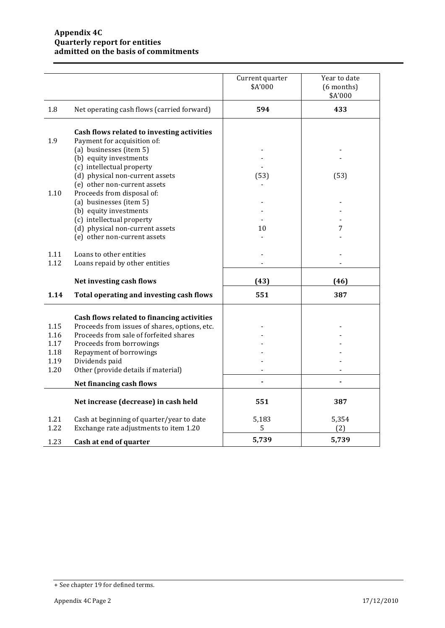|              |                                                                                              | Current quarter<br>\$A'000 | Year to date<br>$(6$ months)<br>\$A'000 |
|--------------|----------------------------------------------------------------------------------------------|----------------------------|-----------------------------------------|
| 1.8          | Net operating cash flows (carried forward)                                                   | 594                        | 433                                     |
| 1.9          | Cash flows related to investing activities<br>Payment for acquisition of:                    |                            |                                         |
|              | (a) businesses (item 5)<br>(b) equity investments<br>(c) intellectual property               |                            |                                         |
|              | (d) physical non-current assets<br>(e) other non-current assets                              | (53)                       | (53)                                    |
| 1.10         | Proceeds from disposal of:<br>(a) businesses (item 5)<br>(b) equity investments              |                            |                                         |
|              | (c) intellectual property<br>(d) physical non-current assets<br>(e) other non-current assets | 10                         | 7                                       |
| 1.11<br>1.12 | Loans to other entities<br>Loans repaid by other entities                                    |                            |                                         |
|              | Net investing cash flows                                                                     | (43)                       | (46)                                    |
| 1.14         | Total operating and investing cash flows                                                     | 551                        | 387                                     |
|              | Cash flows related to financing activities                                                   |                            |                                         |
| 1.15<br>1.16 | Proceeds from issues of shares, options, etc.<br>Proceeds from sale of forfeited shares      |                            |                                         |
| 1.17         | Proceeds from borrowings                                                                     |                            |                                         |
| 1.18         | Repayment of borrowings                                                                      |                            |                                         |
| 1.19         | Dividends paid                                                                               |                            |                                         |
| 1.20         | Other (provide details if material)                                                          |                            |                                         |
|              | Net financing cash flows                                                                     |                            |                                         |
|              | Net increase (decrease) in cash held                                                         | 551                        | 387                                     |
| 1.21<br>1.22 | Cash at beginning of quarter/year to date<br>Exchange rate adjustments to item 1.20          | 5,183<br>5                 | 5,354<br>(2)                            |
| 1.23         | Cash at end of quarter                                                                       | 5,739                      | 5,739                                   |

<sup>+</sup> See chapter 19 for defined terms.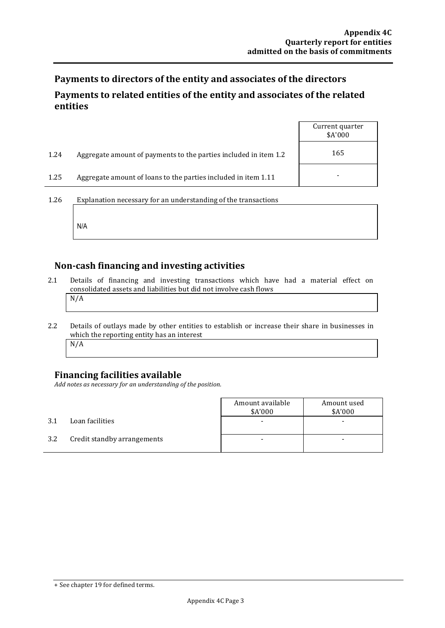## Payments to directors of the entity and associates of the directors Payments to related entities of the entity and associates of the related **entities**

|      |                                                                  | Current quarter<br>\$A'000 |
|------|------------------------------------------------------------------|----------------------------|
| 1.24 | Aggregate amount of payments to the parties included in item 1.2 | 165                        |
| 1.25 | Aggregate amount of loans to the parties included in item 1.11   |                            |
| 1.26 | Explanation necessary for an understanding of the transactions   |                            |

#### Non-cash financing and investing activities

- 2.1 Details of financing and investing transactions which have had a material effect on consolidated assets and liabilities but did not involve cash flows  $N/A$
- 2.2 Details of outlays made by other entities to establish or increase their share in businesses in which the reporting entity has an interest N/A

## **Financing facilities available**

N/A

Add notes as necessary for an understanding of the position.

|     |                             | Amount available<br>\$A'000 | Amount used<br>\$A'000 |
|-----|-----------------------------|-----------------------------|------------------------|
| 3.1 | Loan facilities             |                             |                        |
| 3.2 | Credit standby arrangements |                             |                        |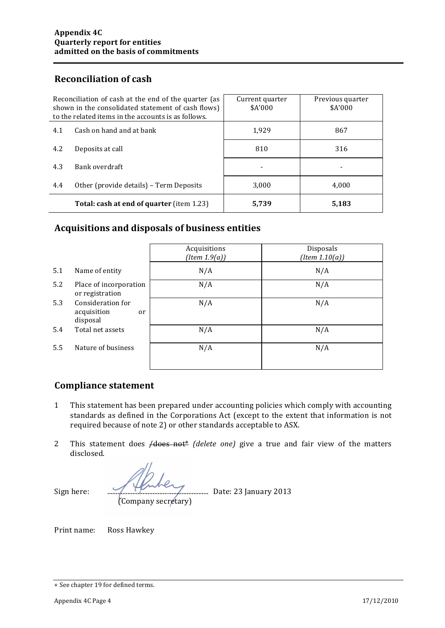## **Reconciliation of cash**

| Reconciliation of cash at the end of the quarter (as<br>shown in the consolidated statement of cash flows)<br>to the related items in the accounts is as follows. |                                                  | Current quarter<br>\$A'000 | Previous quarter<br>\$A'000 |
|-------------------------------------------------------------------------------------------------------------------------------------------------------------------|--------------------------------------------------|----------------------------|-----------------------------|
| 4.1                                                                                                                                                               | Cash on hand and at bank                         | 1,929                      | 867                         |
| 4.2                                                                                                                                                               | Deposits at call                                 | 810                        | 316                         |
| 4.3                                                                                                                                                               | Bank overdraft                                   |                            |                             |
| 4.4                                                                                                                                                               | Other (provide details) – Term Deposits          | 3.000                      | 4.000                       |
|                                                                                                                                                                   | <b>Total: cash at end of quarter</b> (item 1.23) | 5,739                      | 5,183                       |

## Acquisitions and disposals of business entities

|     |                                                    | Acquisitions<br>(Item 1.9(a)) | Disposals<br>$(Item\ 1.10(a))$ |
|-----|----------------------------------------------------|-------------------------------|--------------------------------|
| 5.1 | Name of entity                                     | N/A                           | N/A                            |
| 5.2 | Place of incorporation<br>or registration          | N/A                           | N/A                            |
| 5.3 | Consideration for<br>acquisition<br>or<br>disposal | N/A                           | N/A                            |
| 5.4 | Total net assets                                   | N/A                           | N/A                            |
| 5.5 | Nature of business                                 | N/A                           | N/A                            |

## **Compliance statement**

- 1 This statement has been prepared under accounting policies which comply with accounting standards as defined in the Corporations Act (except to the extent that information is not required because of note 2) or other standards acceptable to ASX.
- 2 This statement does */does not\* (delete one)* give a true and fair view of the matters disclosed.

Sign!here:! ............................................................ Date:!23!January!2013

(Company secretary)

Print name: Ross Hawkey

<sup>+</sup> See chapter 19 for defined terms.